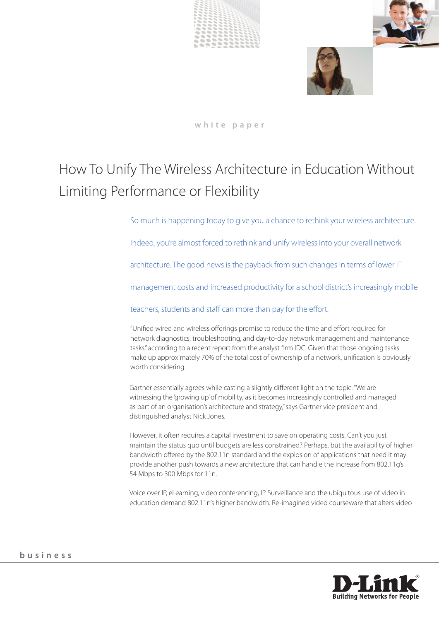





**white paper**

# How To Unify The Wireless Architecture in Education Without Limiting Performance or Flexibility

So much is happening today to give you a chance to rethink your wireless architecture.

Indeed, you're almost forced to rethink and unify wireless into your overall network

architecture. The good news is the payback from such changes in terms of lower IT

management costs and increased productivity for a school district's increasingly mobile

teachers, students and staff can more than pay for the effort.

"Unified wired and wireless offerings promise to reduce the time and effort required for network diagnostics, troubleshooting, and day-to-day network management and maintenance tasks," according to a recent report from the analyst firm IDC. Given that those ongoing tasks make up approximately 70% of the total cost of ownership of a network, unification is obviously worth considering.

Gartner essentially agrees while casting a slightly different light on the topic: "We are witnessing the 'growing up' of mobility, as it becomes increasingly controlled and managed as part of an organisation's architecture and strategy," says Gartner vice president and distinguished analyst Nick Jones.

However, it often requires a capital investment to save on operating costs. Can't you just maintain the status quo until budgets are less constrained? Perhaps, but the availability of higher bandwidth offered by the 802.11n standard and the explosion of applications that need it may provide another push towards a new architecture that can handle the increase from 802.11g's 54 Mbps to 300 Mbps for 11n.

Voice over IP, eLearning, video conferencing, IP Surveillance and the ubiquitous use of video in education demand 802.11n's higher bandwidth. Re-imagined video courseware that alters video

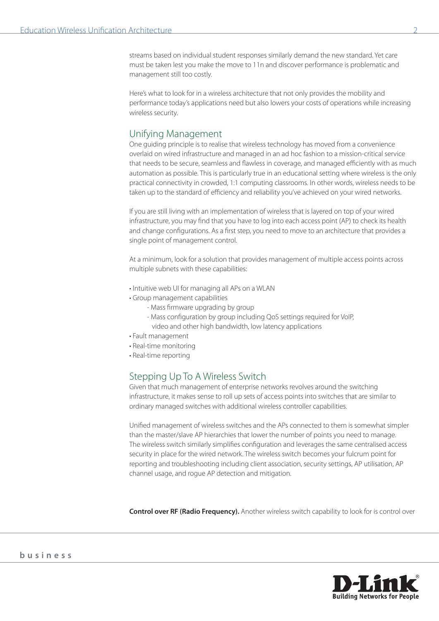streams based on individual student responses similarly demand the new standard. Yet care must be taken lest you make the move to 11n and discover performance is problematic and management still too costly.

Here's what to look for in a wireless architecture that not only provides the mobility and performance today's applications need but also lowers your costs of operations while increasing wireless security.

#### Unifying Management

One guiding principle is to realise that wireless technology has moved from a convenience overlaid on wired infrastructure and managed in an ad hoc fashion to a mission-critical service that needs to be secure, seamless and flawless in coverage, and managed efficiently with as much automation as possible. This is particularly true in an educational setting where wireless is the only practical connectivity in crowded, 1:1 computing classrooms. In other words, wireless needs to be taken up to the standard of efficiency and reliability you've achieved on your wired networks.

If you are still living with an implementation of wireless that is layered on top of your wired infrastructure, you may find that you have to log into each access point (AP) to check its health and change configurations. As a first step, you need to move to an architecture that provides a single point of management control.

At a minimum, look for a solution that provides management of multiple access points across multiple subnets with these capabilities:

- Intuitive web UI for managing all APs on a WLAN
- Group management capabilities
	- Mass firmware upgrading by group
	- Mass configuration by group including QoS settings required for VoIP, video and other high bandwidth, low latency applications
- Fault management
- Real-time monitoring
- Real-time reporting

# Stepping Up To A Wireless Switch

Given that much management of enterprise networks revolves around the switching infrastructure, it makes sense to roll up sets of access points into switches that are similar to ordinary managed switches with additional wireless controller capabilities.

Unified management of wireless switches and the APs connected to them is somewhat simpler than the master/slave AP hierarchies that lower the number of points you need to manage. The wireless switch similarly simplifies configuration and leverages the same centralised access security in place for the wired network. The wireless switch becomes your fulcrum point for reporting and troubleshooting including client association, security settings, AP utilisation, AP channel usage, and rogue AP detection and mitigation.

**Control over RF (Radio Frequency).** Another wireless switch capability to look for is control over

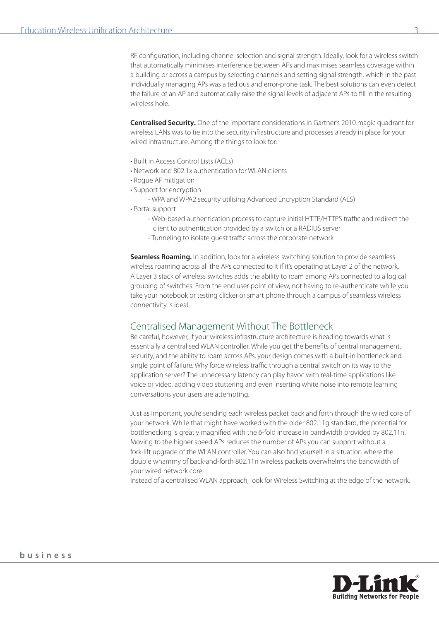RF configuration, including channel selection and signal strength. Ideally, look for a wireless switch that automatically minimises interference between APs and maximises seamless coverage within a building or across a campus by selecting channels and setting signal strength, which in the past individually managing APs was a tedious and error-prone task. The best solutions can even detect the failure of an AP and automatically raise the signal levels of adjacent APs to fill in the resulting wireless hole.

**Centralised Security.** One of the important considerations in Gartner's 2010 magic quadrant for wireless LANs was to tie into the security infrastructure and processes already in place for your wired infrastructure. Among the things to look for:

- Built in Access Control Lists (ACLs)
- Network and 802.1x authentication for WLAN clients
- Rogue AP mitigation
- Support for encryption
	- WPA and WPA2 security utilising Advanced Encryption Standard (AES)
- Portal support
	- Web-based authentication process to capture initial HTTP/HTTPS traffic and redirect the client to authentication provided by a switch or a RADIUS server
	- Tunneling to isolate guest traffic across the corporate network

**Seamless Roaming.** In addition, look for a wireless switching solution to provide seamless wireless roaming across all the APs connected to it if it's operating at Layer 2 of the network. A Layer 3 stack of wireless switches adds the ability to roam among APs connected to a logical grouping of switches. From the end user point of view, not having to re-authenticate while you take your notebook or testing clicker or smart phone through a campus of seamless wireless connectivity is ideal.

# Centralised Management Without The Bottleneck

Be careful, however, if your wireless infrastructure architecture is heading towards what is essentially a centralised WLAN controller. While you get the benefits of central management, security, and the ability to roam across APs, your design comes with a built-in bottleneck and single point of failure. Why force wireless traffic through a central switch on its way to the application server? The unnecessary latency can play havoc with real-time applications like voice or video, adding video stuttering and even inserting white noise into remote learning conversations your users are attempting.

Just as important, you're sending each wireless packet back and forth through the wired core of your network. While that might have worked with the older 802.11g standard, the potential for bottlenecking is greatly magnified with the 6-fold increase in bandwidth provided by 802.11n. Moving to the higher speed APs reduces the number of APs you can support without a fork-lift upgrade of the WLAN controller. You can also find yourself in a situation where the double whammy of back-and-forth 802.11n wireless packets overwhelms the bandwidth of your wired network core.

Instead of a centralised WLAN approach, look for Wireless Switching at the edge of the network.